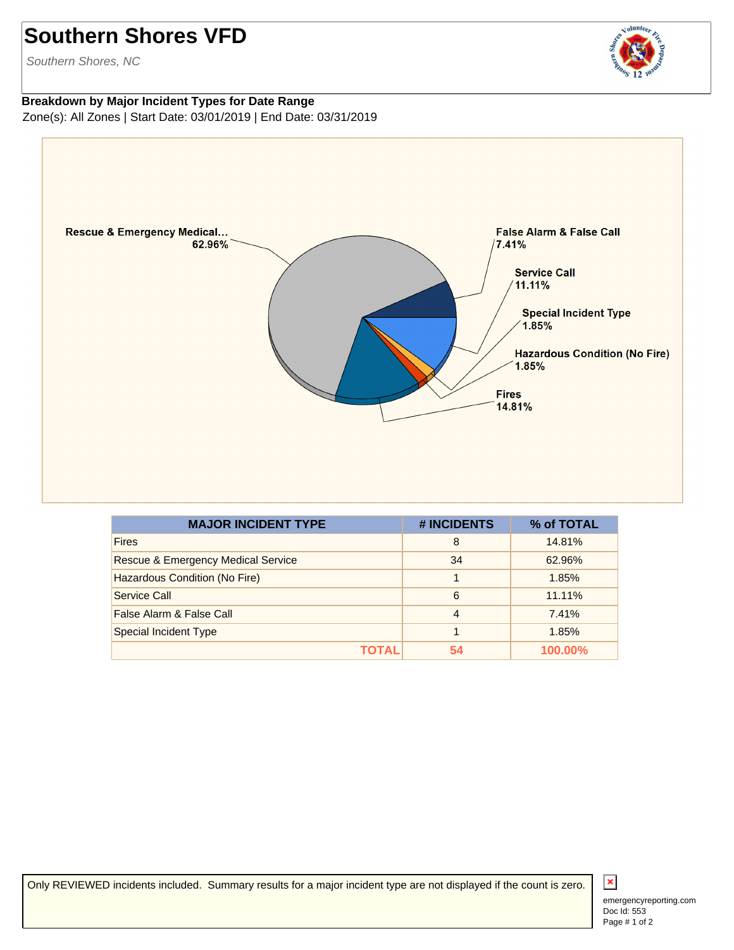## **Southern Shores VFD**

Southern Shores, NC

## **Breakdown by Major Incident Types for Date Range** Zone(s): All Zones | Start Date: 03/01/2019 | End Date: 03/31/2019



| <b>MAJOR INCIDENT TYPE</b>                    | # INCIDENTS    | % of TOTAL     |
|-----------------------------------------------|----------------|----------------|
| <b>Fires</b>                                  | 8              | 14.81%         |
| <b>Rescue &amp; Emergency Medical Service</b> | 34             | 62.96%         |
| Hazardous Condition (No Fire)                 |                | 1.85%          |
| Service Call                                  | 6              | 11.11%         |
| False Alarm & False Call                      | $\overline{4}$ | 7.41%          |
| Special Incident Type                         |                | 1.85%          |
| <b>TOTAL</b>                                  | 54             | <b>100.00%</b> |

Only REVIEWED incidents included. Summary results for a major incident type are not displayed if the count is zero.